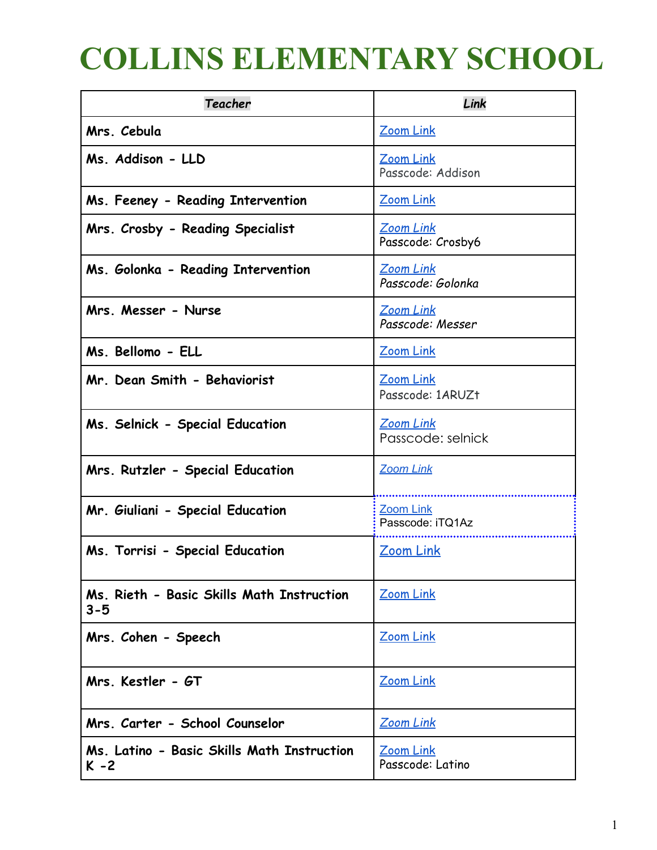## **COLLINS ELEMENTARY SCHOOL**

| Teacher                                               | Link                                  |
|-------------------------------------------------------|---------------------------------------|
| Mrs. Cebula                                           | Zoom Link                             |
| Ms. Addison - LLD                                     | <b>Zoom Link</b><br>Passcode: Addison |
| Ms. Feeney - Reading Intervention                     | Zoom Link                             |
| Mrs. Crosby - Reading Specialist                      | <b>Zoom Link</b><br>Passcode: Crosby6 |
| Ms. Golonka - Reading Intervention                    | Zoom Link<br>Passcode: Golonka        |
| Mrs. Messer - Nurse                                   | <b>Zoom Link</b><br>Passcode: Messer  |
| Ms. Bellomo - ELL                                     | Zoom Link                             |
| Mr. Dean Smith - Behaviorist                          | Zoom Link<br>Passcode: 1ARUZt         |
| Ms. Selnick - Special Education                       | Zoom Link<br>Passcode: selnick        |
| Mrs. Rutzler - Special Education                      | <b>Zoom Link</b><br>                  |
| Mr. Giuliani - Special Education                      | <b>Zoom Link</b><br>Passcode: iTQ1Az  |
| Ms. Torrisi - Special Education                       | Zoom Link                             |
| Ms. Rieth - Basic Skills Math Instruction<br>$3 - 5$  | Zoom Link                             |
| Mrs. Cohen - Speech                                   | Zoom Link                             |
| Mrs. Kestler - GT                                     | Zoom Link                             |
| Mrs. Carter - School Counselor                        | Zoom Link                             |
| Ms. Latino - Basic Skills Math Instruction<br>$K - 2$ | <b>Zoom Link</b><br>Passcode: Latino  |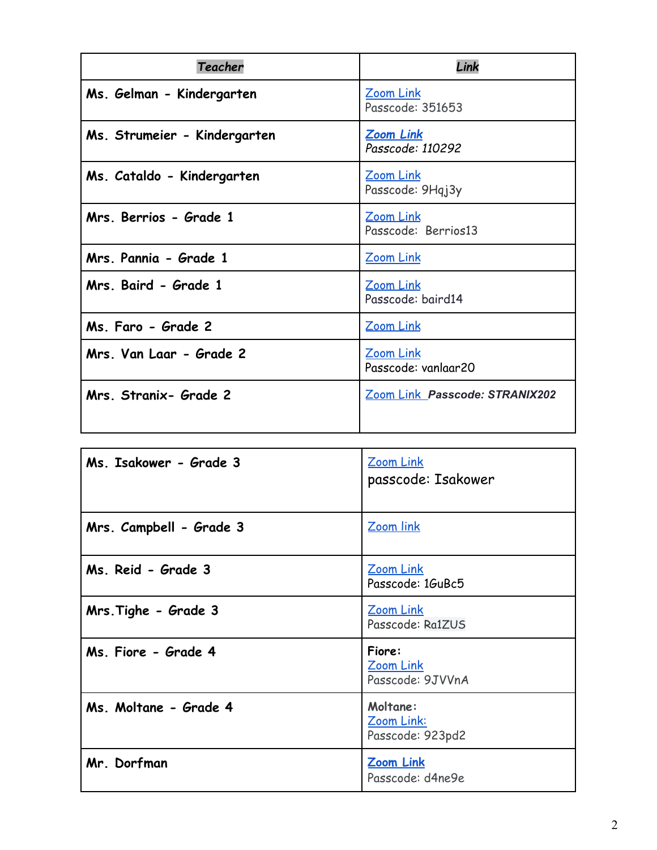| Teacher                      | Link                                    |
|------------------------------|-----------------------------------------|
| Ms. Gelman - Kindergarten    | Zoom Link<br>Passcode: 351653           |
| Ms. Strumeier - Kindergarten | Zoom Link<br>Passcode: 110292           |
| Ms. Cataldo - Kindergarten   | Zoom Link<br>Passcode: 9Hqj3y           |
| Mrs. Berrios - Grade 1       | <b>Zoom Link</b><br>Passcode: Berrios13 |
| Mrs. Pannia - Grade 1        | Zoom Link                               |
| Mrs. Baird - Grade 1         | Zoom Link<br>Passcode: baird14          |
| Ms. Faro - Grade 2           | <b>Zoom Link</b>                        |
| Mrs. Van Laar - Grade 2      | Zoom Link<br>Passcode: vanlaar20        |
| Mrs. Stranix- Grade 2        | Zoom Link Passcode: STRANIX202          |

| Ms. Isakower - Grade 3  | Zoom Link<br>passcode: Isakower            |
|-------------------------|--------------------------------------------|
| Mrs. Campbell - Grade 3 | Zoom link                                  |
| Ms. Reid - Grade 3      | Zoom Link<br>Passcode: 1GuBc5              |
| Mrs. Tighe - Grade 3    | Zoom Link<br>Passcode: Ra1ZUS              |
| Ms. Fiore - Grade 4     | Fiore:<br>Zoom Link<br>Passcode: 9JVVnA    |
| Ms. Moltane - Grade 4   | Moltane:<br>Zoom Link:<br>Passcode: 923pd2 |
| Mr. Dorfman             | <b>Zoom Link</b><br>Passcode: d4ne9e       |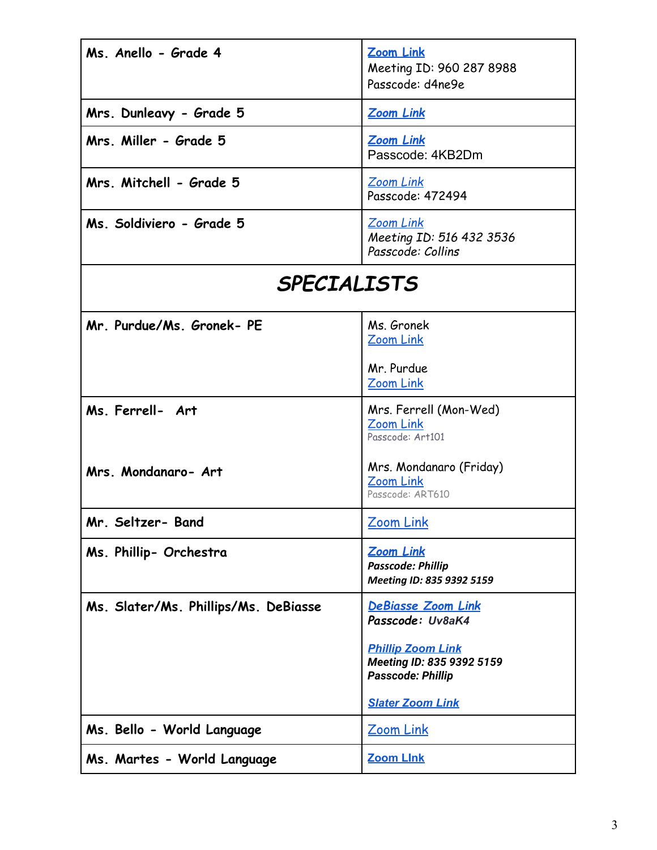| Ms. Anello - Grade 4                 | <b>Zoom Link</b><br>Meeting ID: 960 287 8988<br>Passcode: d4ne9e           |  |
|--------------------------------------|----------------------------------------------------------------------------|--|
| Mrs. Dunleavy - Grade 5              | Zoom Link                                                                  |  |
| Mrs. Miller - Grade 5                | Zoom Link<br>Passcode: 4KB2Dm                                              |  |
| Mrs. Mitchell - Grade 5              | Zoom Link<br>Passcode: 472494                                              |  |
| Ms. Soldiviero - Grade 5             | Zoom Link<br>Meeting ID: 516 432 3536<br>Passcode: Collins                 |  |
| <b>SPECIALISTS</b>                   |                                                                            |  |
| Mr. Purdue/Ms. Gronek- PE            | Ms. Gronek<br><b>Zoom Link</b>                                             |  |
|                                      | Mr. Purdue<br><b>Zoom Link</b>                                             |  |
| Ms. Ferrell- Art                     | Mrs. Ferrell (Mon-Wed)<br><b>Zoom Link</b><br>Passcode: Art101             |  |
| Mrs. Mondanaro- Art                  | Mrs. Mondanaro (Friday)<br><b>Zoom Link</b><br>Passcode: ART610            |  |
| Mr. Seltzer- Band                    | Zoom Link                                                                  |  |
| Ms. Phillip- Orchestra               | <b>Zoom Link</b><br><b>Passcode: Phillip</b><br>Meeting ID: 835 9392 5159  |  |
| Ms. Slater/Ms. Phillips/Ms. DeBiasse | <b>DeBiasse Zoom Link</b><br>Passcode: Uv8aK4                              |  |
|                                      | <b>Phillip Zoom Link</b><br>Meeting ID: 835 9392 5159<br>Passcode: Phillip |  |
|                                      | <b>Slater Zoom Link</b>                                                    |  |
| Ms. Bello - World Language           | Zoom Link                                                                  |  |
| Ms. Martes - World Language          | <b>Zoom Link</b>                                                           |  |